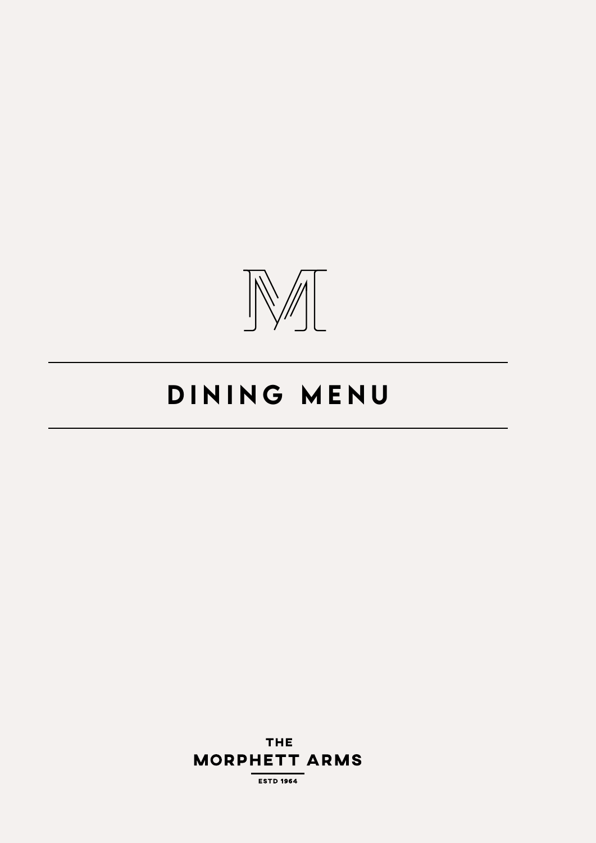

# DINING MENU

**THE MORPHETT ARMS** 

**ESTD 1964**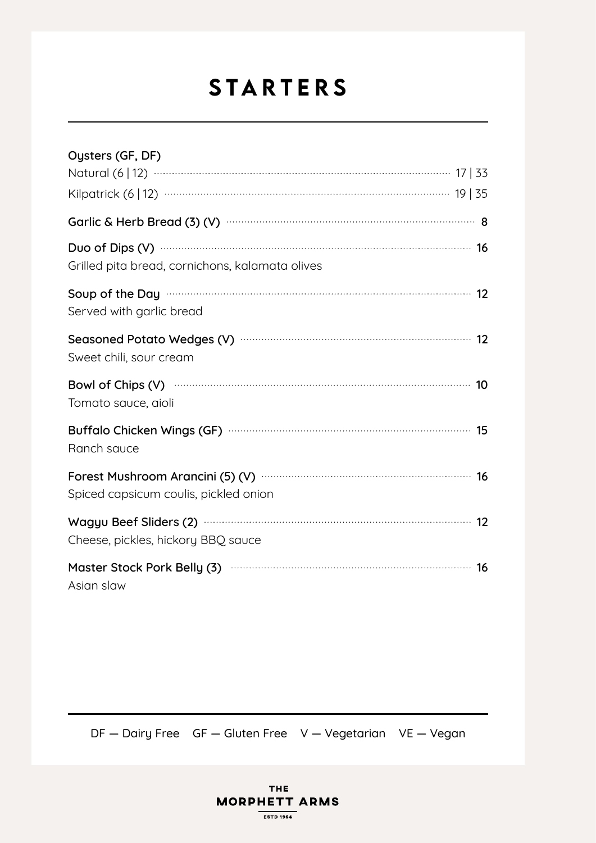# STARTERS

| Oysters (GF, DF)                                                                                                                           |
|--------------------------------------------------------------------------------------------------------------------------------------------|
| Natural (6   12) …………………………………………………………………………… 17   33                                                                                     |
|                                                                                                                                            |
|                                                                                                                                            |
| Duo of Dips (V) manufactured and the 16<br>Grilled pita bread, cornichons, kalamata olives                                                 |
| Soup of the Day manuscription and the Day manuscription of the Day manuscription and the Day manuscription and<br>Served with garlic bread |
| Seasoned Potato Wedges (V) manufacture and the control of the 12<br>Sweet chili, sour cream                                                |
| Bowl of Chips (V) manufactured and the 10<br>Tomato sauce, aioli                                                                           |
| Buffalo Chicken Wings (GF) manufactured and the control of the 15<br>Ranch sauce                                                           |
| Spiced capsicum coulis, pickled onion                                                                                                      |
| Wagyu Beef Sliders (2) manufactured and the state and the 12<br>Cheese, pickles, hickory BBQ sauce                                         |
| Master Stock Pork Belly (3) manufactured and the Master Stock Pork Belly (3)<br>Asian slaw                                                 |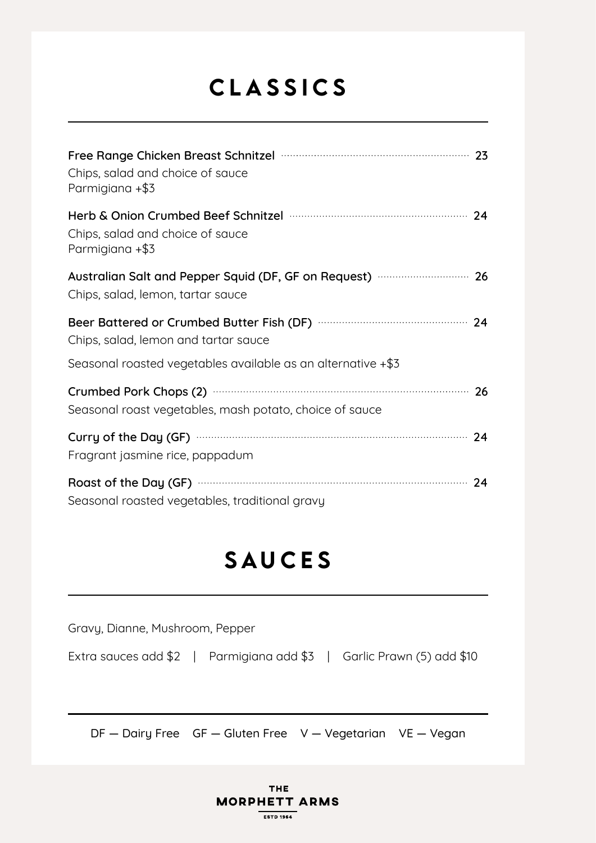## CLASSICS

| Free Range Chicken Breast Schnitzel <b>Manual Accord 23</b> 23<br>Chips, salad and choice of sauce<br>Parmigiana +\$3                                            |  |
|------------------------------------------------------------------------------------------------------------------------------------------------------------------|--|
| Herb & Onion Crumbed Beef Schnitzel mummum mummum 24<br>Chips, salad and choice of sauce<br>Parmigiana +\$3                                                      |  |
| Australian Salt and Pepper Squid (DF, GF on Request) <b></b> 26<br>Chips, salad, lemon, tartar sauce                                                             |  |
| Chips, salad, lemon and tartar sauce<br>Seasonal roasted vegetables available as an alternative +\$3                                                             |  |
| Crumbed Pork Chops (2) manufactured and the control of the 26<br>Seasonal roast vegetables, mash potato, choice of sauce                                         |  |
| Curry of the Day (GF) manufactured and the Curry of the Day (GF)<br>Fragrant jasmine rice, pappadum                                                              |  |
| Roast of the Day (GF) manufactured and the Day (GF) and the Day (GF) manufactured and the Day (GF) and the Day<br>Seasonal roasted vegetables, traditional gravy |  |

#### SAUCES

Gravy, Dianne, Mushroom, Pepper

Extra sauces add \$2 | Parmigiana add \$3 | Garlic Prawn (5) add \$10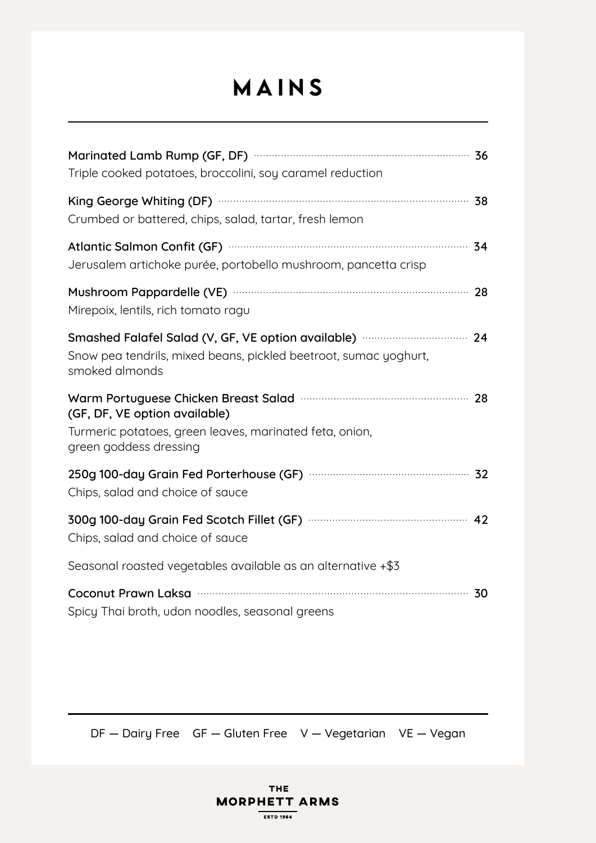## MAINS

| Triple cooked potatoes, broccolini, soy caramel reduction                                                                                                                        |  |
|----------------------------------------------------------------------------------------------------------------------------------------------------------------------------------|--|
| King George Whiting (DF) manufactured and the control of the Sandwick State of the State State State State Sta<br>Crumbed or battered, chips, salad, tartar, fresh lemon         |  |
| Atlantic Salmon Confit (GF) Material Context of the Salmon Confit (GF) Material Context of the SALMON SALMON S<br>Jerusalem artichoke purée, portobello mushroom, pancetta crisp |  |
| Mushroom Pappardelle (VE) manuscritting and the 28<br>Mirepoix, lentils, rich tomato ragu                                                                                        |  |
| Smashed Falafel Salad (V, GF, VE option available) ………………………… 24<br>Snow pea tendrils, mixed beans, pickled beetroot, sumac yoghurt,<br>smoked almonds                           |  |
| Warm Portuguese Chicken Breast Salad mummum mummum 28<br>(GF, DF, VE option available)<br>Turmeric potatoes, green leaves, marinated feta, onion,<br>green goddess dressing      |  |
| Chips, salad and choice of sauce                                                                                                                                                 |  |
| Chips, salad and choice of sauce                                                                                                                                                 |  |
| Seasonal roasted vegetables available as an alternative +\$3                                                                                                                     |  |
| Spicy Thai broth, udon noodles, seasonal greens                                                                                                                                  |  |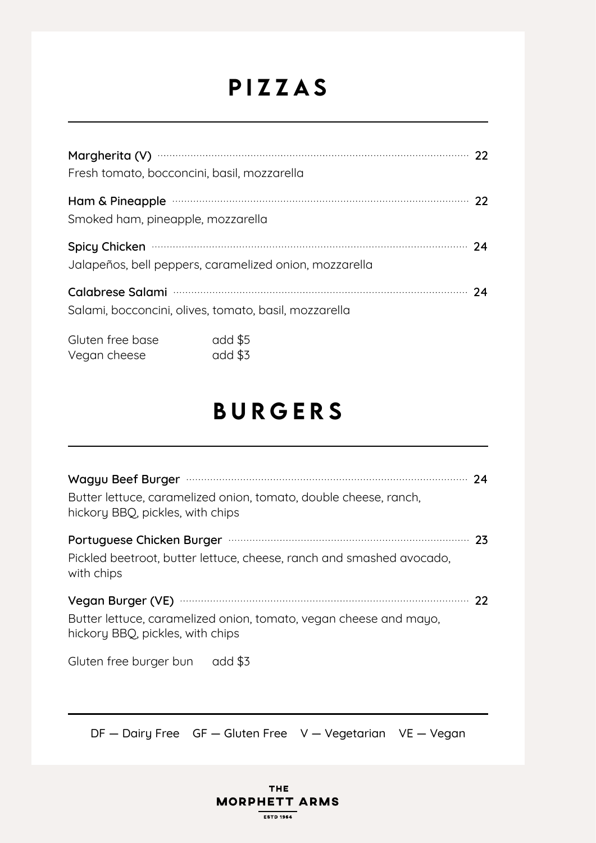#### PIZZAS

| Fresh tomato, bocconcini, basil, mozzarella                                                  |  |
|----------------------------------------------------------------------------------------------|--|
| Ham & Pineapple manufactured and the contract of the 22<br>Smoked ham, pineapple, mozzarella |  |
| Spicy Chicken 24<br>Jalapeños, bell peppers, caramelized onion, mozzarella                   |  |
| Salami, bocconcini, olives, tomato, basil, mozzarella                                        |  |
|                                                                                              |  |

| Gluten free base | add \$5 |
|------------------|---------|
| Vegan cheese     | add \$3 |

#### BURGERS

| Butter lettuce, caramelized onion, tomato, double cheese, ranch,<br>hickory BBQ, pickles, with chips  |  |
|-------------------------------------------------------------------------------------------------------|--|
| Pickled beetroot, butter lettuce, cheese, ranch and smashed avocado,<br>with chips                    |  |
| Butter lettuce, caramelized onion, tomato, vegan cheese and mayo,<br>hickory BBQ, pickles, with chips |  |
| Gluten free burger bun add \$3                                                                        |  |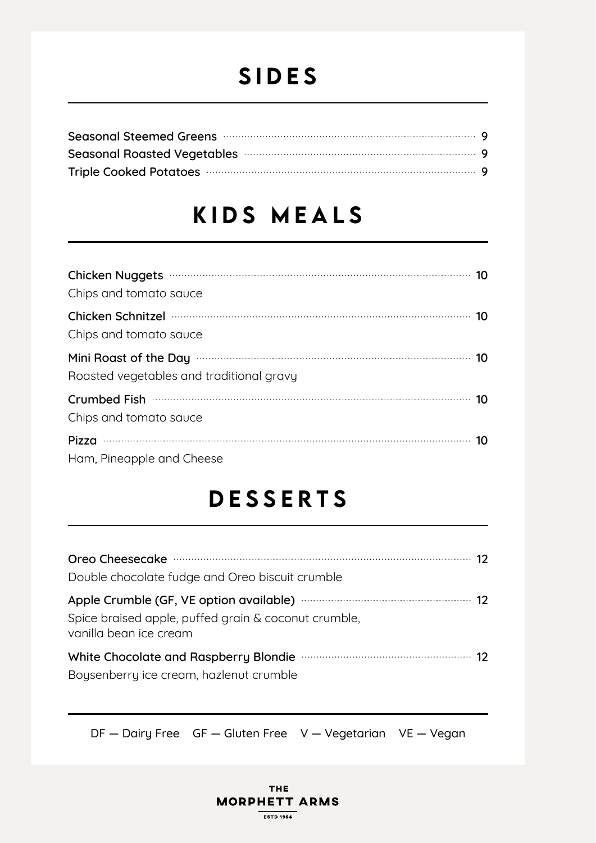#### SIDES

| Seasonal Steemed Greens manufactured and seasonal steemed Greens manufactured and seasonal steemed G       |  |
|------------------------------------------------------------------------------------------------------------|--|
| Seasonal Roasted Vegetables manufactured and seasonal Roasted Vegetables manufactured and seasonal season. |  |
|                                                                                                            |  |

#### KIDS MEALS

| Chips and tomato sauce                                                                                                                    |  |
|-------------------------------------------------------------------------------------------------------------------------------------------|--|
| Chicken Schnitzel must be a substitute that the schnitzer manufacture of the schnitzer manufacture of the schni<br>Chips and tomato sauce |  |
| Mini Roast of the Day <b>Construction</b> 10<br>Roasted vegetables and traditional gravy                                                  |  |
| Chips and tomato sauce                                                                                                                    |  |
| Ham, Pineapple and Cheese                                                                                                                 |  |

#### DESSERTS

| Double chocolate fudge and Oreo biscuit crumble                                                                                                                |  |
|----------------------------------------------------------------------------------------------------------------------------------------------------------------|--|
| Apple Crumble (GF, VE option available) …………………………………………… 12<br>Spice braised apple, puffed grain & coconut crumble,<br>vanilla bean ice cream                 |  |
| White Chocolate and Raspberry Blondie <b>Material Contract Chocolate and Raspberry Blondie</b> Material Material 12<br>Boysenberry ice cream, hazlenut crumble |  |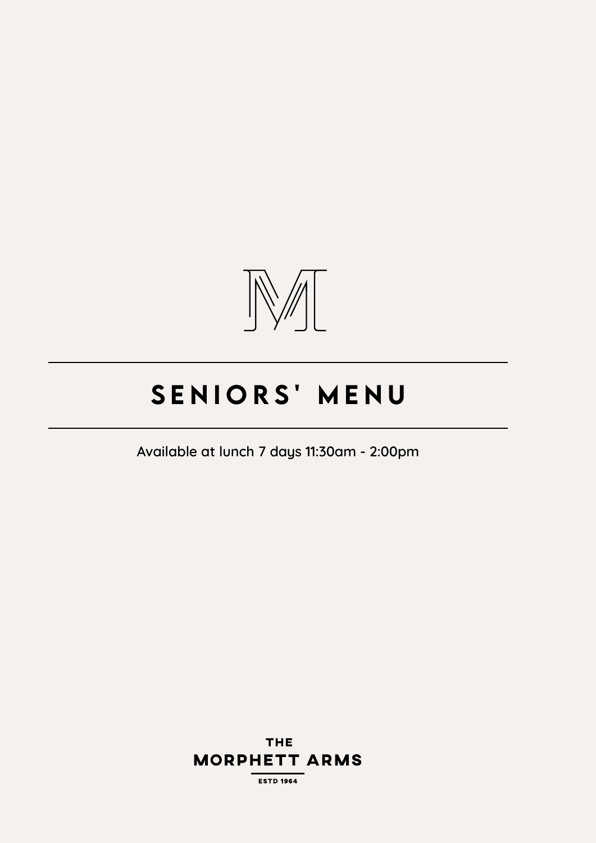

# SENIORS' MENU

**Available at lunch 7 days 11:30am - 2:00pm**

DF — Dairy Free GF — Gluten Free V — Vegetarian VE — Vegan **MORPHETT ARMS** 

**ESTD 1964**